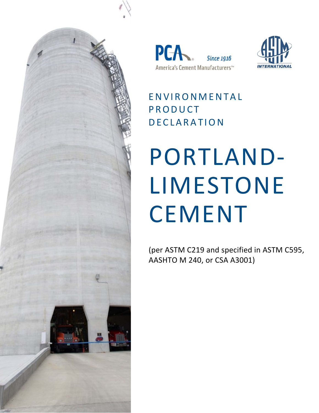





ENVIRONMENTAL PRODUCT DECLARATION

# PORTLAND‐ LIMESTONE CEMENT

(per ASTM C219 and specified in ASTM C595, AASHTO M 240, or CSA A3001)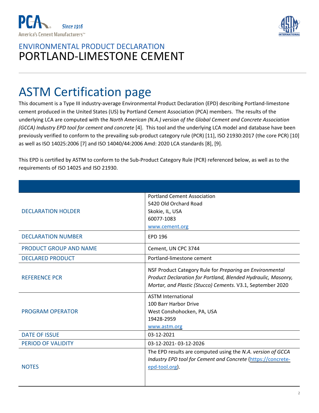



# ASTM Certification page

This document is a Type III industry‐average Environmental Product Declaration (EPD) describing Portland‐limestone cement produced in the United States (US) by Portland Cement Association (PCA) members. The results of the underlying LCA are computed with the *North American (N.A.) version of the Global Cement and Concrete Association (GCCA) Industry EPD tool for cement and concrete* [4]. This tool and the underlying LCA model and database have been previously verified to conform to the prevailing sub-product category rule (PCR) [11], ISO 21930:2017 (the core PCR) [10] as well as ISO 14025:2006 [7] and ISO 14040/44:2006 Amd: 2020 LCA standards [8], [9].

This EPD is certified by ASTM to conform to the Sub‐Product Category Rule (PCR) referenced below, as well as to the requirements of ISO 14025 and ISO 21930.

| <b>DECLARATION HOLDER</b>     | <b>Portland Cement Association</b><br>5420 Old Orchard Road<br>Skokie, IL, USA<br>60077-1083<br>www.cement.org                                                                          |
|-------------------------------|-----------------------------------------------------------------------------------------------------------------------------------------------------------------------------------------|
| <b>DECLARATION NUMBER</b>     | <b>EPD 196</b>                                                                                                                                                                          |
| <b>PRODUCT GROUP AND NAME</b> | Cement, UN CPC 3744                                                                                                                                                                     |
| <b>DECLARED PRODUCT</b>       | Portland-limestone cement                                                                                                                                                               |
| <b>REFERENCE PCR</b>          | NSF Product Category Rule for Preparing an Environmental<br>Product Declaration for Portland, Blended Hydraulic, Masonry,<br>Mortar, and Plastic (Stucco) Cements. V3.1, September 2020 |
| <b>PROGRAM OPERATOR</b>       | <b>ASTM International</b><br>100 Barr Harbor Drive<br>West Conshohocken, PA, USA<br>19428-2959<br>www.astm.org                                                                          |
| <b>DATE OF ISSUE</b>          | 03-12-2021                                                                                                                                                                              |
| <b>PERIOD OF VALIDITY</b>     | 03-12-2021-03-12-2026                                                                                                                                                                   |
| <b>NOTES</b>                  | The EPD results are computed using the N.A. version of GCCA<br>Industry EPD tool for Cement and Concrete (https://concrete-<br>epd-tool.org).                                           |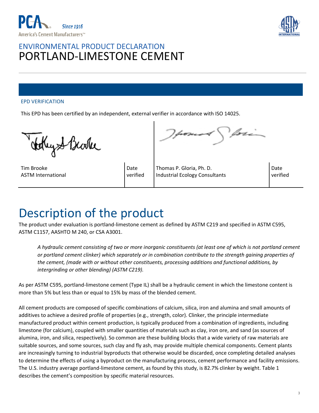



#### EPD VERIFICATION

This EPD has been certified by an independent, external verifier in accordance with ISO 14025.

tekiyst Barke

Tim Brooke ASTM International

Date verified

Thomas P. Gloria, Ph. D. Industrial Ecology Consultants

Date verified

## Description of the product

The product under evaluation is portland‐limestone cement as defined by ASTM C219 and specified in ASTM C595, ASTM C1157, AASHTO M 240, or CSA A3001.

*A hydraulic cement consisting of two or more inorganic constituents (at least one of which is not portland cement or portland cement clinker) which separately or in combination contribute to the strength gaining properties of the cement, (made with or without other constituents, processing additions and functional additions, by intergrinding or other blending) (ASTM C219).* 

As per ASTM C595, portland‐limestone cement (Type IL) shall be a hydraulic cement in which the limestone content is more than 5% but less than or equal to 15% by mass of the blended cement.

All cement products are composed of specific combinations of calcium, silica, iron and alumina and small amounts of additives to achieve a desired profile of properties (e.g., strength, color). Clinker, the principle intermediate manufactured product within cement production, is typically produced from a combination of ingredients, including limestone (for calcium), coupled with smaller quantities of materials such as clay, iron ore, and sand (as sources of alumina, iron, and silica, respectively). So common are these building blocks that a wide variety of raw materials are suitable sources, and some sources, such clay and fly ash, may provide multiple chemical components. Cement plants are increasingly turning to industrial byproducts that otherwise would be discarded, once completing detailed analyses to determine the effects of using a byproduct on the manufacturing process, cement performance and facility emissions. The U.S. industry average portland‐limestone cement, as found by this study, is 82.7% clinker by weight. Table 1 describes the cement's composition by specific material resources.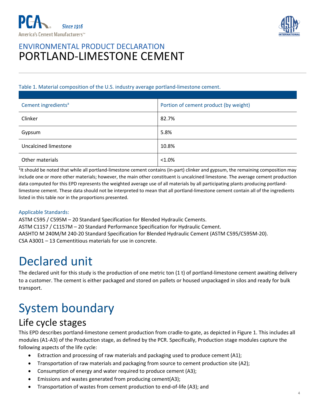



#### Table 1. Material composition of the U.S. industry average portland‐limestone cement.

| Cement ingredients <sup>a</sup> | Portion of cement product (by weight) |
|---------------------------------|---------------------------------------|
| Clinker                         | 82.7%                                 |
| Gypsum                          | 5.8%                                  |
| Uncalcined limestone            | 10.8%                                 |
| Other materials                 | $< 1.0\%$                             |

<sup>1</sup>It should be noted that while all portland-limestone cement contains (in-part) clinker and gypsum, the remaining composition may include one or more other materials; however, the main other constituent is uncalcined limestone. The average cement production data computed for this EPD represents the weighted average use of all materials by all participating plants producing portland‐ limestone cement. These data should not be interpreted to mean that all portland‐limestone cement contain all of the ingredients listed in this table nor in the proportions presented.

#### Applicable Standards:

ASTM C595 / C595M – 20 Standard Specification for Blended Hydraulic Cements. ASTM C1157 / C1157M – 20 Standard Performance Specification for Hydraulic Cement. AASHTO M 240M/M 240‐20 Standard Specification for Blended Hydraulic Cement (ASTM C595/C595M‐20). CSA A3001 – 13 Cementitious materials for use in concrete.

## Declared unit

The declared unit for this study is the production of one metric ton  $(1 t)$  of portland-limestone cement awaiting delivery to a customer. The cement is either packaged and stored on pallets or housed unpackaged in silos and ready for bulk transport.

# System boundary

#### Life cycle stages

This EPD describes portland‐limestone cement production from cradle‐to‐gate, as depicted in Figure 1. This includes all modules (A1‐A3) of the Production stage, as defined by the PCR. Specifically, Production stage modules capture the following aspects of the life cycle:

- Extraction and processing of raw materials and packaging used to produce cement (A1);
- Transportation of raw materials and packaging from source to cement production site (A2);
- Consumption of energy and water required to produce cement (A3);
- Emissions and wastes generated from producing cement(A3);
- Transportation of wastes from cement production to end‐of‐life (A3); and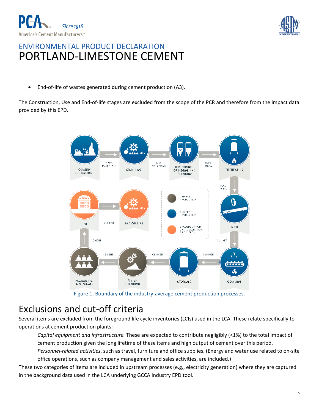



■ End-of-life of wastes generated during cement production (A3).

The Construction, Use and End‐of‐life stages are excluded from the scope of the PCR and therefore from the impact data provided by this EPD.



Figure 1. Boundary of the industry‐average cement production processes.

## Exclusions and cut‐off criteria

Several items are excluded from the foreground life cycle inventories (LCIs) used in the LCA. These relate specifically to operations at cement production plants:

*Capital equipment and infrastructure.* These are expected to contribute negligibly (<1%) to the total impact of cement production given the long lifetime of these items and high output of cement over this period. *Personnel‐related activities*, such as travel, furniture and office supplies. (Energy and water use related to on‐site office operations, such as company management and sales activities, are included.)

These two categories of items are included in upstream processes (e.g., electricity generation) where they are captured in the background data used in the LCA underlying GCCA Industry EPD tool.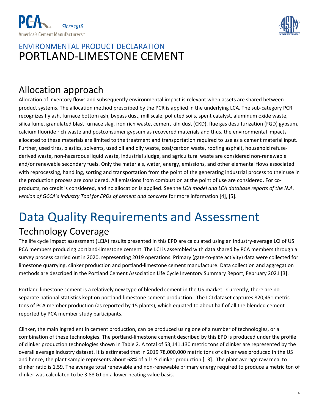



## Allocation approach

Allocation of inventory flows and subsequently environmental impact is relevant when assets are shared between product systems. The allocation method prescribed by the PCR is applied in the underlying LCA. The sub-category PCR recognizes fly ash, furnace bottom ash, bypass dust, mill scale, polluted soils, spent catalyst, aluminum oxide waste, silica fume, granulated blast furnace slag, iron rich waste, cement kiln dust (CKD), flue gas desulfurization (FGD) gypsum, calcium fluoride rich waste and postconsumer gypsum as recovered materials and thus, the environmental impacts allocated to these materials are limited to the treatment and transportation required to use as a cement material input. Further, used tires, plastics, solvents, used oil and oily waste, coal/carbon waste, roofing asphalt, household refuse‐ derived waste, non‐hazardous liquid waste, industrial sludge, and agricultural waste are considered non‐renewable and/or renewable secondary fuels. Only the materials, water, energy, emissions, and other elemental flows associated with reprocessing, handling, sorting and transportation from the point of the generating industrial process to their use in the production process are considered. All emissions from combustion at the point of use are considered. For co‐ products, no credit is considered, and no allocation is applied. See the *LCA model and LCA database reports of the N.A. version of GCCA's Industry Tool for EPDs of cement and concrete* for more information [4], [5].

# Data Quality Requirements and Assessment

## Technology Coverage

The life cycle impact assessment (LCIA) results presented in this EPD are calculated using an industry-average LCI of US PCA members producing portland‐limestone cement. The LCI is assembled with data shared by PCA members through a survey process carried out in 2020, representing 2019 operations. Primary (gate‐to‐gate activity) data were collected for limestone quarrying, clinker production and portland‐limestone cement manufacture. Data collection and aggregation methods are described in the Portland Cement Association Life Cycle Inventory Summary Report, February 2021 [3].

Portland limestone cement is a relatively new type of blended cement in the US market. Currently, there are no separate national statistics kept on portland‐limestone cement production. The LCI dataset captures 820,451 metric tons of PCA member production (as reported by 15 plants), which equated to about half of all the blended cement reported by PCA member study participants.

Clinker, the main ingredient in cement production, can be produced using one of a number of technologies, or a combination of these technologies. The portland‐limestone cement described by this EPD is produced under the profile of clinker production technologies shown in Table 2. A total of 53,141,130 metric tons of clinker are represented by the overall average industry dataset. It is estimated that in 2019 78,000,000 metric tons of clinker was produced in the US and hence, the plant sample represents about 68% of all US clinker production [13]. The plant average raw meal to clinker ratio is 1.59. The average total renewable and non‐renewable primary energy required to produce a metric ton of clinker was calculated to be 3.88 GJ on a lower heating value basis.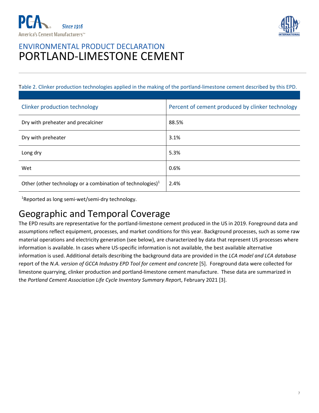



Table 2. Clinker production technologies applied in the making of the portland‐limestone cement described by this EPD.

| Clinker production technology                                 | Percent of cement produced by clinker technology |
|---------------------------------------------------------------|--------------------------------------------------|
| Dry with preheater and precalciner                            | 88.5%                                            |
| Dry with preheater                                            | 3.1%                                             |
| Long dry                                                      | 5.3%                                             |
| Wet                                                           | 0.6%                                             |
| Other (other technology or a combination of technologies) $1$ | 2.4%                                             |

1 Reported as long semi‐wet/semi‐dry technology.

## Geographic and Temporal Coverage

The EPD results are representative for the portland-limestone cement produced in the US in 2019. Foreground data and assumptions reflect equipment, processes, and market conditions for this year. Background processes, such as some raw material operations and electricity generation (see below), are characterized by data that represent US processes where information is available. In cases where US‐specific information is not available, the best available alternative information is used. Additional details describing the background data are provided in the *LCA model and LCA database* report of the *N.A. version of GCCA Industry EPD Tool for cement and concrete* [5]. Foreground data were collected for limestone quarrying, clinker production and portland‐limestone cement manufacture. These data are summarized in the *Portland Cement Association Life Cycle Inventory Summary Rep*ort, February 2021 [3].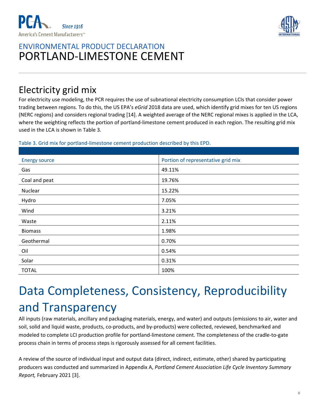



## Electricity grid mix

For electricity use modeling, the PCR requires the use of subnational electricity consumption LCIs that consider power trading between regions. To do this, the US EPA's *eGrid* 2018 data are used, which identify grid mixes for ten US regions (NERC regions) and considers regional trading [14]. A weighted average of the NERC regional mixes is applied in the LCA, where the weighting reflects the portion of portland-limestone cement produced in each region. The resulting grid mix used in the LCA is shown in Table 3.

#### Table 3. Grid mix for portland‐limestone cement production described by this EPD.

| <b>Energy source</b> | Portion of representative grid mix |
|----------------------|------------------------------------|
| Gas                  | 49.11%                             |
| Coal and peat        | 19.76%                             |
| Nuclear              | 15.22%                             |
| Hydro                | 7.05%                              |
| Wind                 | 3.21%                              |
| Waste                | 2.11%                              |
| <b>Biomass</b>       | 1.98%                              |
| Geothermal           | 0.70%                              |
| Oil                  | 0.54%                              |
| Solar                | 0.31%                              |
| <b>TOTAL</b>         | 100%                               |

# Data Completeness, Consistency, Reproducibility and Transparency

All inputs (raw materials, ancillary and packaging materials, energy, and water) and outputs (emissions to air, water and soil, solid and liquid waste, products, co-products, and by-products) were collected, reviewed, benchmarked and modeled to complete LCI production profile for portland‐limestone cement. The completeness of the cradle‐to‐gate process chain in terms of process steps is rigorously assessed for all cement facilities.

A review of the source of individual input and output data (direct, indirect, estimate, other) shared by participating producers was conducted and summarized in Appendix A, *Portland Cement Association Life Cycle Inventory Summary Report,* February 2021 [3].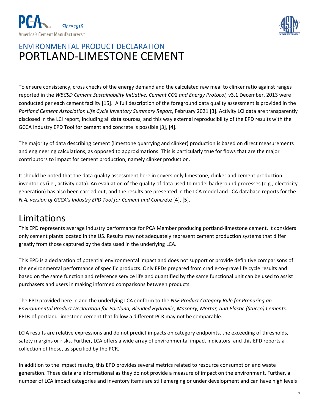



To ensure consistency, cross checks of the energy demand and the calculated raw meal to clinker ratio against ranges reported in the *WBCSD Cement Sustainability Initiative, Cement CO2 and Energy Protocol,* v3.1 December, 2013 were conducted per each cement facility [15]. A full description of the foreground data quality assessment is provided in the *Portland Cement Association Life Cycle Inventory Summary Report*, February 2021 [3]. Activity LCI data are transparently disclosed in the LCI report, including all data sources, and this way external reproducibility of the EPD results with the GCCA Industry EPD Tool for cement and concrete is possible [3], [4].

The majority of data describing cement (limestone quarrying and clinker) production is based on direct measurements and engineering calculations, as opposed to approximations. This is particularly true for flows that are the major contributors to impact for cement production, namely clinker production.

It should be noted that the data quality assessment here in covers only limestone, clinker and cement production inventories (i.e., activity data). An evaluation of the quality of data used to model background processes (e.g., electricity generation) has also been carried out, and the results are presented in the LCA model and LCA database reports for the *N.A. version of GCCA's Industry EPD Tool for Cement and Concr*ete [4], [5].

## Limitations

This EPD represents average industry performance for PCA Member producing portland‐limestone cement. It considers only cement plants located in the US. Results may not adequately represent cement production systems that differ greatly from those captured by the data used in the underlying LCA.

This EPD is a declaration of potential environmental impact and does not support or provide definitive comparisons of the environmental performance of specific products. Only EPDs prepared from cradle‐to‐grave life cycle results and based on the same function and reference service life and quantified by the same functional unit can be used to assist purchasers and users in making informed comparisons between products.

The EPD provided here in and the underlying LCA conform to the *NSF Product Category Rule for Preparing an Environmental Product Declaration for Portland, Blended Hydraulic, Masonry, Mortar, and Plastic (Stucco) Cements*. EPDs of portland‐limestone cement that follow a different PCR may not be comparable.

LCIA results are relative expressions and do not predict impacts on category endpoints, the exceeding of thresholds, safety margins or risks. Further, LCA offers a wide array of environmental impact indicators, and this EPD reports a collection of those, as specified by the PCR.

In addition to the impact results, this EPD provides several metrics related to resource consumption and waste generation. These data are informational as they do not provide a measure of impact on the environment. Further, a number of LCA impact categories and inventory items are still emerging or under development and can have high levels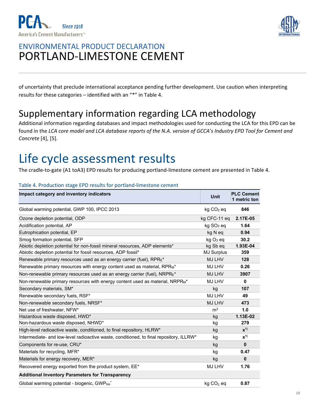



of uncertainty that preclude international acceptance pending further development. Use caution when interpreting results for these categories – identified with an "\*" in Table 4.

## Supplementary information regarding LCA methodology

Additional information regarding databases and impact methodologies used for conducting the LCA for this EPD can be found in the *LCA core model and LCA database reports of the N.A. version of GCCA's Industry EPD Tool for Cement and Concrete* [4], [5].

## Life cycle assessment results

The cradle-to-gate (A1 toA3) EPD results for producing portland-limestone cement are presented in Table 4.

| Impact category and inventory indicators                                                | <b>Unit</b>           | <b>PLC Cement</b><br>1 metric ton |
|-----------------------------------------------------------------------------------------|-----------------------|-----------------------------------|
| Global warming potential, GWP 100, IPCC 2013                                            | $kg CO2$ eq           | 846                               |
| Ozone depletion potential, ODP                                                          | kg CFC-11 eq          | 2.17E-05                          |
| Acidification potential, AP                                                             | kg SO <sub>2</sub> eq | 1.64                              |
| Eutrophication potential, EP                                                            | kg N eq               | 0.94                              |
| Smog formation potential, SFP                                                           | kg O <sub>3</sub> eq  | 30.2                              |
| Abiotic depletion potential for non-fossil mineral resources, ADP elements*             | kg Sb eq              | 1.93E-04                          |
| Abiotic depletion potential for fossil resources, ADP fossil*                           | <b>MJ Surplus</b>     | 359                               |
| Renewable primary resources used as an energy carrier (fuel), RPRE*                     | MJ LHV                | 128                               |
| Renewable primary resources with energy content used as material, RPR <sub>M</sub> *    | MJ LHV                | 0.26                              |
| Non-renewable primary resources used as an energy carrier (fuel), NRPRE*                | MJ LHV                | 3907                              |
| Non-renewable primary resources with energy content used as material, NRPRM*            | <b>MJ LHV</b>         | $\mathbf{0}$                      |
| Secondary materials, SM*                                                                | kg                    | 107                               |
| Renewable secondary fuels, RSF*                                                         | MJ LHV                | 49                                |
| Non-renewable secondary fuels, NRSF*                                                    | MJ LHV                | 473                               |
| Net use of freshwater, NFW*                                                             | m <sup>3</sup>        | 1.0                               |
| Hazardous waste disposed, HWD*                                                          | kg                    | 1.13E-02                          |
| Non-hazardous waste disposed, NHWD*                                                     | kg                    | 279                               |
| High-level radioactive waste, conditioned, to final repository, HLRW*                   | kg                    | $x^{1}$                           |
| Intermediate- and low-level radioactive waste, conditioned, to final repository, ILLRW* | kg                    | $x^{1}$                           |
| Components for re-use, CRU*                                                             | kg                    | $\mathbf 0$                       |
| Materials for recycling, MFR*                                                           | kg                    | 0.47                              |
| Materials for energy recovery, MER*                                                     | kg                    | $\mathbf{0}$                      |
| Recovered energy exported from the product system, EE*                                  | MJ LHV                | 1.76                              |
| <b>Additional Inventory Parameters for Transparency</b>                                 |                       |                                   |
| Global warming potential - biogenic, GWPbiot                                            | $kg CO2$ eq           | 0.87                              |

#### Table 4. Production stage EPD results for portland‐limestone cement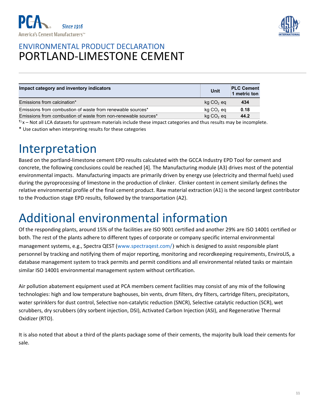



| Impact category and inventory indicators                       | Unit        | <b>PLC Cement</b><br>1 metric ton |
|----------------------------------------------------------------|-------------|-----------------------------------|
| Emissions from calcination*                                    | $kg CO2$ eq | 434                               |
| Emissions from combustion of waste from renewable sources*     | $kg CO2$ eq | 0.18                              |
| Emissions from combustion of waste from non-renewable sources* | $kg CO2$ eq | 44.2                              |

 $1$ <sup> $1$ </sup>x – Not all LCA datasets for upstream materials include these impact categories and thus results may be incomplete.

\* Use caution when interpreting results for these categories

## Interpretation

Based on the portland‐limestone cement EPD results calculated with the GCCA Industry EPD Tool for cement and concrete, the following conclusions could be reached [4]. The Manufacturing module (A3) drives most of the potential environmental impacts. Manufacturing impacts are primarily driven by energy use (electricity and thermal fuels) used during the pyroprocessing of limestone in the production of clinker. Clinker content in cement similarly defines the relative environmental profile of the final cement product. Raw material extraction (A1) is the second largest contributor to the Production stage EPD results, followed by the transportation (A2).

## Additional environmental information

Of the responding plants, around 15% of the facilities are ISO 9001 certified and another 29% are ISO 14001 certified or both. The rest of the plants adhere to different types of corporate or company specific internal environmental management systems, e.g., Spectra QEST (www.spectraqest.com/) which is designed to assist responsible plant personnel by tracking and notifying them of major reporting, monitoring and recordkeeping requirements, EnviroLIS, a database management system to track permits and permit conditions and all environmental related tasks or maintain similar ISO 14001 environmental management system without certification.

Air pollution abatement equipment used at PCA members cement facilities may consist of any mix of the following technologies: high and low temperature baghouses, bin vents, drum filters, dry filters, cartridge filters, precipitators, water sprinklers for dust control, Selective non-catalytic reduction (SNCR), Selective catalytic reduction (SCR), wet scrubbers, dry scrubbers (dry sorbent injection, DSI), Activated Carbon Injection (ASI), and Regenerative Thermal Oxidizer (RTO).

It is also noted that about a third of the plants package some of their cements, the majority bulk load their cements for sale.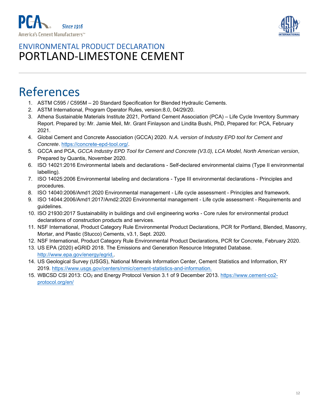



## References

- 1. ASTM C595 / C595M 20 Standard Specification for Blended Hydraulic Cements.
- 2. ASTM International, Program Operator Rules, version:8.0, 04/29/20.
- 3. Athena Sustainable Materials Institute 2021, Portland Cement Association (PCA) Life Cycle Inventory Summary Report. Prepared by: Mr. Jamie Meil, Mr. Grant Finlayson and Lindita Bushi, PhD, Prepared for: PCA, February 2021.
- 4. Global Cement and Concrete Association (GCCA) 2020. *N.A. version of Industry EPD tool for Cement and Concrete*. https://concrete-epd-tool.org/.
- 5. GCCA and PCA, *GCCA Industry EPD Tool for Cement and Concrete (V3.0), LCA Model, North American version*, Prepared by Quantis, November 2020.
- 6. ISO 14021:2016 Environmental labels and declarations Self-declared environmental claims (Type II environmental labelling).
- 7. ISO 14025:2006 Environmental labeling and declarations Type III environmental declarations Principles and procedures.
- 8. ISO 14040:2006/Amd1:2020 Environmental management Life cycle assessment Principles and framework.
- 9. ISO 14044:2006/Amd1:2017/Amd2:2020 Environmental management Life cycle assessment Requirements and guidelines.
- 10. ISO 21930:2017 Sustainability in buildings and civil engineering works Core rules for environmental product declarations of construction products and services.
- 11. NSF International, Product Category Rule Environmental Product Declarations, PCR for Portland, Blended, Masonry, Mortar, and Plastic (Stucco) Cements, v3.1, Sept. 2020.
- 12. NSF International, Product Category Rule Environmental Product Declarations, PCR for Concrete, February 2020.
- 13. US EPA (2020) eGRID 2018. The Emissions and Generation Resource Integrated Database. http://www.epa.gov/energy/egrid,.
- 14. US Geological Survey (USGS), National Minerals Information Center, Cement Statistics and Information, RY 2019. https://www.usgs.gov/centers/nmic/cement-statistics-and-information.
- 15. WBCSD CSI 2013: CO<sub>2</sub> and Energy Protocol Version 3.1 of 9 December 2013. https://www.cement-co2protocol.org/en/